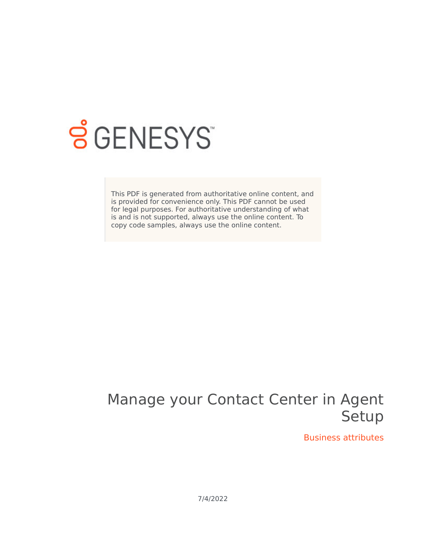

## **SGENESYS**

This PDF is generated from authoritative online content, and is provided for convenience only. This PDF cannot be used for legal purposes. For authoritative understanding of what is and is not supported, always use the online content. To copy code samples, always use the online content.

## Manage your Contact Center in Agent Setup

Business attributes

7/4/2022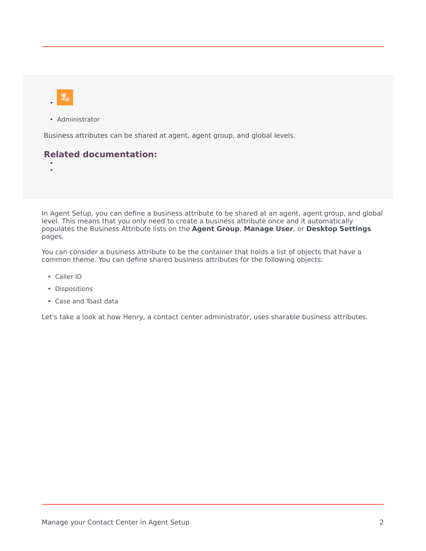

• Administrator

Business attributes can be shared at agent, agent group, and global levels.

## **Related documentation:**

• •

In Agent Setup, you can define a business attribute to be shared at an agent, agent group, and global level. This means that you only need to create a business attribute once and it automatically populates the Business Attribute lists on the **Agent Group**, **Manage User**, or **Desktop Settings** pages.

You can consider a business attribute to be the container that holds a list of objects that have a common theme. You can define shared business attributes for the following objects:

- Caller ID
- Dispositions
- Case and Toast data

Let's take a look at how Henry, a contact center administrator, uses sharable business attributes.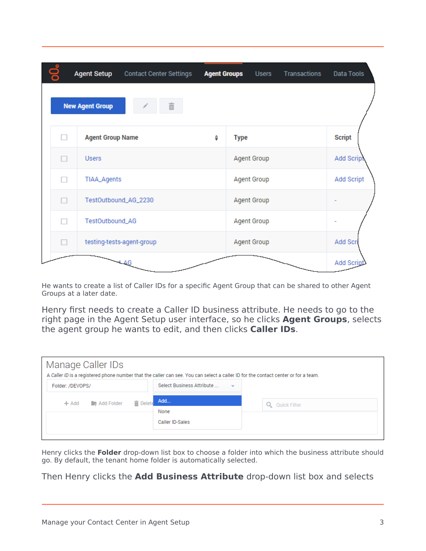|   | <b>Agent Setup</b>      | <b>Contact Center Settings</b> | <b>Agent Groups</b> | <b>Users</b>       | Transactions | Data Tools        |
|---|-------------------------|--------------------------------|---------------------|--------------------|--------------|-------------------|
|   | <b>New Agent Group</b>  | 亩                              |                     |                    |              |                   |
| п | <b>Agent Group Name</b> |                                | ♦                   | <b>Type</b>        |              | <b>Script</b>     |
| п | <b>Users</b>            |                                |                     | <b>Agent Group</b> |              | <b>Add Scrip</b>  |
| п | TIAA_Agents             |                                |                     | <b>Agent Group</b> |              | <b>Add Script</b> |
| П |                         | TestOutbound_AG_2230           |                     | <b>Agent Group</b> |              |                   |
| П | TestOutbound_AG         |                                |                     | <b>Agent Group</b> |              |                   |
| п |                         | testing-tests-agent-group      |                     | Agent Group        |              | Add Scri          |
|   |                         |                                |                     |                    |              | Add Scrip         |

He wants to create a list of Caller IDs for a specific Agent Group that can be shared to other Agent Groups at a later date.

Henry first needs to create a Caller ID business attribute. He needs to go to the right page in the Agent Setup user interface, so he clicks **Agent Groups**, selects the agent group he wants to edit, and then clicks **Caller IDs**.

| Manage Caller IDs<br>A Caller ID is a registered phone number that the caller can see. You can select a caller ID for the contact center or for a team. |                                           |              |  |  |  |
|---------------------------------------------------------------------------------------------------------------------------------------------------------|-------------------------------------------|--------------|--|--|--|
| Folder: /DEVOPS/                                                                                                                                        | Select Business Attribute<br>$\mathbf{v}$ |              |  |  |  |
| <b>Lating Add Folder</b><br><b>而 Delete</b><br>$+$ Add                                                                                                  | Add                                       | Quick Filter |  |  |  |
|                                                                                                                                                         | None                                      |              |  |  |  |
|                                                                                                                                                         | Caller ID-Sales                           |              |  |  |  |
|                                                                                                                                                         |                                           |              |  |  |  |

Henry clicks the **Folder** drop-down list box to choose a folder into which the business attribute should go. By default, the tenant home folder is automatically selected.

Then Henry clicks the **Add Business Attribute** drop-down list box and selects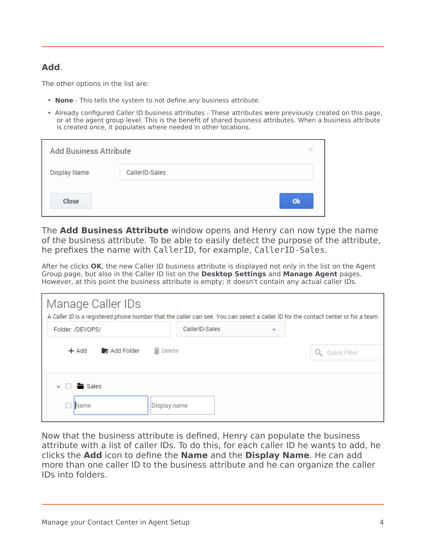## **Add**.

The other options in the list are:

- **None** This tells the system to not define any business attribute.
- Already configured Caller ID business attributes These attributes were previously created on this page, or at the agent group level. This is the benefit of shared business attributes. When a business attribute is created once, it populates where needed in other locations.

| <b>Add Business Attribute</b> |                |    |
|-------------------------------|----------------|----|
| <b>Display Name</b>           | CallerID-Sales |    |
| <b>Close</b>                  |                | Ok |

The **Add Business Attribute** window opens and Henry can now type the name of the business attribute. To be able to easily detect the purpose of the attribute, he prefixes the name with CallerID, for example, CallerID-Sales.

After he clicks **OK**, the new Caller ID business attribute is displayed not only in the list on the Agent Group page, but also in the Caller ID list on the **Desktop Settings** and **Manage Agent** pages. However, at this point the business attribute is empty; it doesn't contain any actual caller IDs.

| Manage Caller IDs<br>A Caller ID is a registered phone number that the caller can see. You can select a caller ID for the contact center or for a team. |                     |  |                     |
|---------------------------------------------------------------------------------------------------------------------------------------------------------|---------------------|--|---------------------|
| Folder: /DEVOPS/                                                                                                                                        | CallerID-Sales<br>v |  |                     |
| Add Folder<br>m Delete<br>$+$ Add                                                                                                                       |                     |  | <b>Quick Filter</b> |
| $\vee$ $\Box$ $\blacksquare$ Sales<br>Display name<br>Name                                                                                              |                     |  |                     |

Now that the business attribute is defined, Henry can populate the business attribute with a list of caller IDs. To do this, for each caller ID he wants to add, he clicks the **Add** icon to define the **Name** and the **Display Name**. He can add more than one caller ID to the business attribute and he can organize the caller IDs into folders.